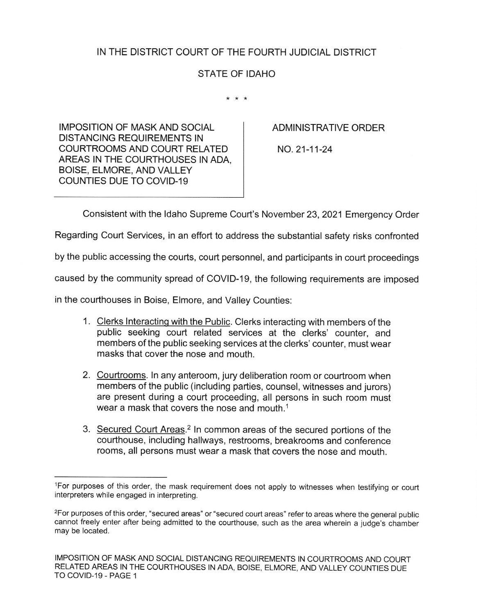## IN THE DISTRICT COURT OF THE FOURTH JUDICIAL DISTRICT

## STATE OF IDAHO

 $* * *$ 

IMPOSITION OF MASKAND SOCIAL DISTANCING REQUIREMENTS IN COURTROOMS AND COURT RELATED AREAS IN THE COURTHOUSES IN ADA, BOISE, ELMORE, AND VALLEY COUNTIES DUE TO COVID-19

ADMINISTRATIVE ORDER

NO.21-11-24

Consistent with the ldaho Supreme Court's November 23,2021 Emergency Order

Regarding Court Services, in an effort to address the substantial safety risks confronted

by the public accessing the courts, court personnel, and participants in court proceedings

caused by the community spread of COVID-19, the following requirements are imposed

in the courthouses in Boise, Elmore, and Valley Counties:

- 1. Clerks Interacting with the Public. Clerks interacting with members of the public seeking court related services at the clerks' counter, and members of the public seeking services at the clerks' counter, must wear masks that cover the nose and mouth.
- 2. Courtrooms. ln any anteroom, jury deliberation room or courtroom when members of the public (including parties, counsel, witnesses and jurors) are present during a court proceeding, all persons in such room must wear a mask that covers the nose and mouth.<sup>1</sup>
- 3. Secured Court Areas.2 ln common areas of the secured portions of the courthouse, including hallways, restrooms, breakrooms and conference rooms, all persons must wear a mask that covers the nose and mouth.

lFor purposes of this order, the mask requirement does not apply to witnesses when testifying or court interpreters while engaged in interpreting.

<sup>2</sup>For purposes of this order, "secured areas" or "secured court areas" refer to areas where the general public cannot freely enter after being admitted to the courthouse, such as the area wherein a judge's chamber may be located.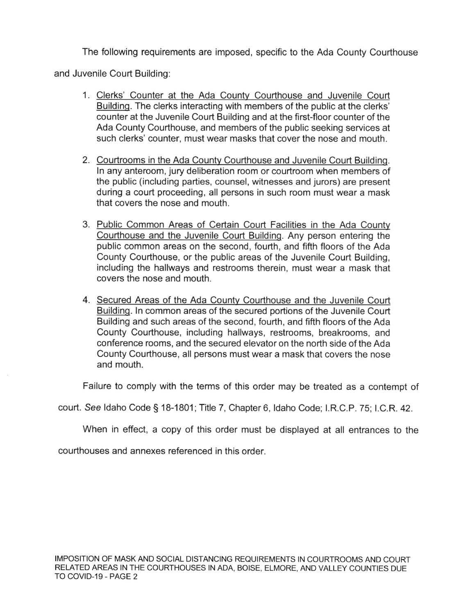The following requirements are imposed, specific to the Ada County Courthouse

and Juvenile Court Building:

- 1. Clerks' Counter at the Ada County Courthouse and Juvenile Court Buildinq. The clerks interacting with members of the public at the clerks' counter at the Juvenile Court Building and at the first-floor counter of the Ada County Courthouse, and members of the public seeking services at such clerks' counter, must wear masks that cover the nose and mouth.
- 2. Courtrooms in the Ada County Courthouse and Juvenile Court Building. ln any anteroom, jury deliberation room or courtroom when members of the public (including parties, counsel, witnesses and jurors) are present during a court proceeding, all persons in such room must wear a mask that covers the nose and mouth.
- 3. Public Common Areas of Certain Court Facilities in the Ada County Courthouse and the Juvenile Court Buildina. Any person entering the public common areas on the second, fourth, and fifth floors of the Ada County Courthouse, or the public areas of the Juvenile Court Building, including the hallways and restrooms therein, must wear a mask that covers the nose and mouth.
- 4. Secured Areas of the Ada County Courthouse and the Juvenile Court Buildinq. ln common areas of the secured portions of the Juvenile Court Building and such areas of the second, fourth, and fifth floors of the Ada County Courthouse, including hallways, restrooms, breakrooms, and conference rooms, and the secured elevator on the north side of the Ada County Courthouse, all persons must wear a mask that covers the nose and mouth.

Failure to comply with the terms of this order may be treated as a contempt of

court. See Idaho Code § 18-1801; Title 7, Chapter 6, Idaho Code; I.R.C.P. 75; I.C.R. 42.

When in effect, a copy of this order must be displayed at all entrances to the

courthouses and annexes referenced in this order.